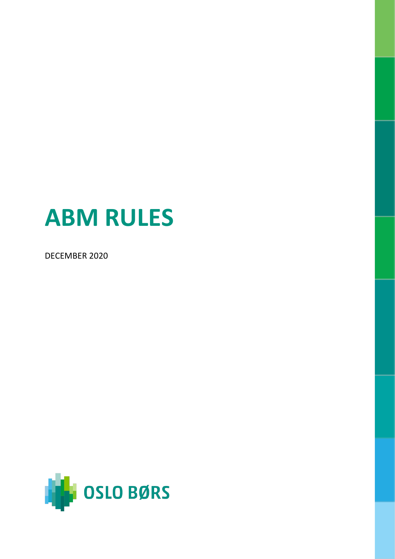# **ABM RULES**

DECEMBER 2020

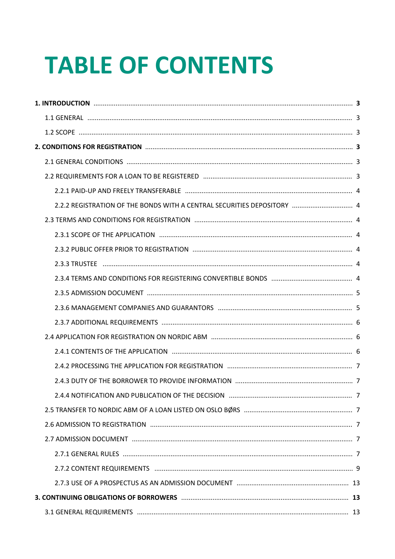# **TABLE OF CONTENTS**

| 2.2.2 REGISTRATION OF THE BONDS WITH A CENTRAL SECURITIES DEPOSITORY  4 |  |
|-------------------------------------------------------------------------|--|
|                                                                         |  |
|                                                                         |  |
|                                                                         |  |
|                                                                         |  |
|                                                                         |  |
|                                                                         |  |
|                                                                         |  |
|                                                                         |  |
|                                                                         |  |
|                                                                         |  |
|                                                                         |  |
|                                                                         |  |
|                                                                         |  |
|                                                                         |  |
|                                                                         |  |
|                                                                         |  |
|                                                                         |  |
|                                                                         |  |
|                                                                         |  |
|                                                                         |  |
|                                                                         |  |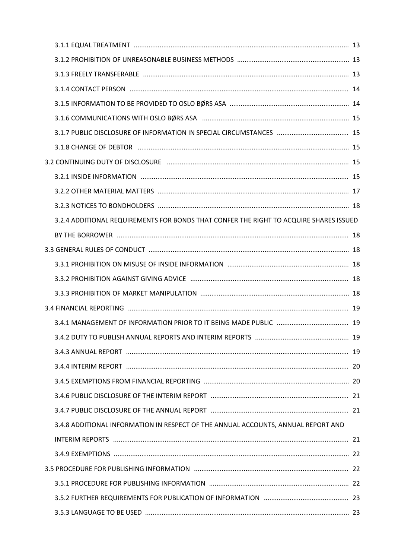|  | 3.2.4 ADDITIONAL REQUIREMENTS FOR BONDS THAT CONFER THE RIGHT TO ACQUIRE SHARES ISSUED<br>3.4.8 ADDITIONAL INFORMATION IN RESPECT OF THE ANNUAL ACCOUNTS, ANNUAL REPORT AND |  |  |  |
|--|-----------------------------------------------------------------------------------------------------------------------------------------------------------------------------|--|--|--|
|  |                                                                                                                                                                             |  |  |  |
|  |                                                                                                                                                                             |  |  |  |
|  |                                                                                                                                                                             |  |  |  |
|  |                                                                                                                                                                             |  |  |  |
|  |                                                                                                                                                                             |  |  |  |
|  |                                                                                                                                                                             |  |  |  |
|  |                                                                                                                                                                             |  |  |  |
|  |                                                                                                                                                                             |  |  |  |
|  |                                                                                                                                                                             |  |  |  |
|  |                                                                                                                                                                             |  |  |  |
|  |                                                                                                                                                                             |  |  |  |
|  |                                                                                                                                                                             |  |  |  |
|  |                                                                                                                                                                             |  |  |  |
|  |                                                                                                                                                                             |  |  |  |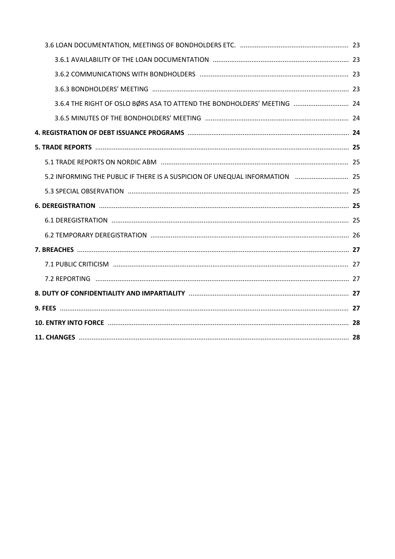| 3.6.4 THE RIGHT OF OSLO BØRS ASA TO ATTEND THE BONDHOLDERS' MEETING  24 |  |
|-------------------------------------------------------------------------|--|
|                                                                         |  |
|                                                                         |  |
|                                                                         |  |
|                                                                         |  |
|                                                                         |  |
|                                                                         |  |
|                                                                         |  |
|                                                                         |  |
|                                                                         |  |
|                                                                         |  |
|                                                                         |  |
|                                                                         |  |
|                                                                         |  |
|                                                                         |  |
|                                                                         |  |
|                                                                         |  |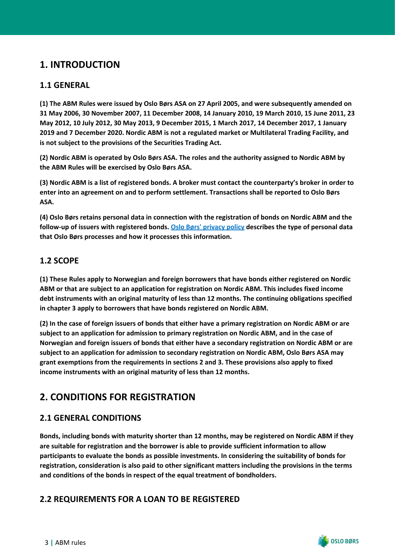# <span id="page-4-0"></span>**1. INTRODUCTION**

# <span id="page-4-1"></span>**1.1 GENERAL**

**(1) The ABM Rules were issued by Oslo Børs ASA on 27 April 2005, and were subsequently amended on 31 May 2006, 30 November 2007, 11 December 2008, 14 January 2010, 19 March 2010, 15 June 2011, 23 May 2012, 10 July 2012, 30 May 2013, 9 December 2015, 1 March 2017, 14 December 2017, 1 January 2019 and 7 December 2020. Nordic ABM is not a regulated market or Multilateral Trading Facility, and is not subject to the provisions of the Securities Trading Act.**

**(2) Nordic ABM is operated by Oslo Børs ASA. The roles and the authority assigned to Nordic ABM by the ABM Rules will be exercised by Oslo Børs ASA.**

**(3) Nordic ABM is a list of registered bonds. A broker must contact the counterparty's broker in order to enter into an agreement on and to perform settlement. Transactions shall be reported to Oslo Børs ASA.**

**(4) Oslo Børs retains personal data in connection with the registration of bonds on Nordic ABM and the follow-up of issuers with registered bonds. [Oslo Børs' privacy policy](https://www.oslobors.no/ob_eng/Oslo-Boers/About-Oslo-Boers/Privacy-Policy) describes the type of personal data that Oslo Børs processes and how it processes this information.**

# <span id="page-4-2"></span>**1.2 SCOPE**

**(1) These Rules apply to Norwegian and foreign borrowers that have bonds either registered on Nordic ABM or that are subject to an application for registration on Nordic ABM. This includes fixed income debt instruments with an original maturity of less than 12 months. The continuing obligations specified in chapter 3 apply to borrowers that have bonds registered on Nordic ABM.**

**(2) In the case of foreign issuers of bonds that either have a primary registration on Nordic ABM or are subject to an application for admission to primary registration on Nordic ABM, and in the case of Norwegian and foreign issuers of bonds that either have a secondary registration on Nordic ABM or are subject to an application for admission to secondary registration on Nordic ABM, Oslo Børs ASA may grant exemptions from the requirements in sections 2 and 3. These provisions also apply to fixed income instruments with an original maturity of less than 12 months.**

# <span id="page-4-3"></span>**2. CONDITIONS FOR REGISTRATION**

# <span id="page-4-4"></span>**2.1 GENERAL CONDITIONS**

**Bonds, including bonds with maturity shorter than 12 months, may be registered on Nordic ABM if they are suitable for registration and the borrower is able to provide sufficient information to allow participants to evaluate the bonds as possible investments. In considering the suitability of bonds for registration, consideration is also paid to other significant matters including the provisions in the terms and conditions of the bonds in respect of the equal treatment of bondholders.**

# <span id="page-4-5"></span>**2.2 REQUIREMENTS FOR A LOAN TO BE REGISTERED**

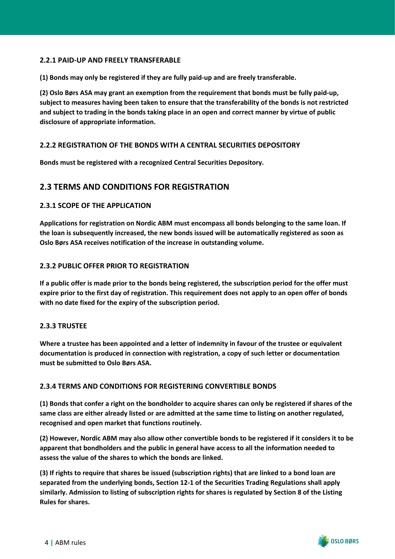#### <span id="page-5-0"></span>**2.2.1 PAID-UP AND FREELY TRANSFERABLE**

**(1) Bonds may only be registered if they are fully paid-up and are freely transferable.**

**(2) Oslo Børs ASA may grant an exemption from the requirement that bonds must be fully paid-up, subject to measures having been taken to ensure that the transferability of the bonds is not restricted and subject to trading in the bonds taking place in an open and correct manner by virtue of public disclosure of appropriate information.**

#### <span id="page-5-1"></span>**2.2.2 REGISTRATION OF THE BONDS WITH A CENTRAL SECURITIES DEPOSITORY**

**Bonds must be registered with a recognized Central Securities Depository.** 

## <span id="page-5-2"></span>**2.3 TERMS AND CONDITIONS FOR REGISTRATION**

#### <span id="page-5-3"></span>**2.3.1 SCOPE OF THE APPLICATION**

**Applications for registration on Nordic ABM must encompass all bonds belonging to the same loan. If the loan is subsequently increased, the new bonds issued will be automatically registered as soon as Oslo Børs ASA receives notification of the increase in outstanding volume.**

#### <span id="page-5-4"></span>**2.3.2 PUBLIC OFFER PRIOR TO REGISTRATION**

**If a public offer is made prior to the bonds being registered, the subscription period for the offer must expire prior to the first day of registration. This requirement does not apply to an open offer of bonds with no date fixed for the expiry of the subscription period.**

#### <span id="page-5-5"></span>**2.3.3 TRUSTEE**

**Where a trustee has been appointed and a letter of indemnity in favour of the trustee or equivalent documentation is produced in connection with registration, a copy of such letter or documentation must be submitted to Oslo Børs ASA.**

#### <span id="page-5-6"></span>**2.3.4 TERMS AND CONDITIONS FOR REGISTERING CONVERTIBLE BONDS**

**(1) Bonds that confer a right on the bondholder to acquire shares can only be registered if shares of the same class are either already listed or are admitted at the same time to listing on another regulated, recognised and open market that functions routinely.**

**(2) However, Nordic ABM may also allow other convertible bonds to be registered if it considers it to be apparent that bondholders and the public in general have access to all the information needed to assess the value of the shares to which the bonds are linked.**

**(3) If rights to require that shares be issued (subscription rights) that are linked to a bond loan are separated from the underlying bonds, Section 12-1 of the Securities Trading Regulations shall apply similarly. Admission to listing of subscription rights for shares is regulated by Section 8 of the Listing Rules for shares.**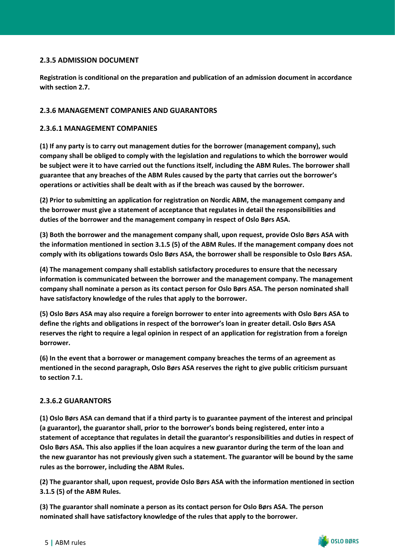#### <span id="page-6-0"></span>**2.3.5 ADMISSION DOCUMENT**

**Registration is conditional on the preparation and publication of an admission document in accordance with section 2.7.**

#### <span id="page-6-1"></span>**2.3.6 MANAGEMENT COMPANIES AND GUARANTORS**

#### **2.3.6.1 MANAGEMENT COMPANIES**

**(1) If any party is to carry out management duties for the borrower (management company), such company shall be obliged to comply with the legislation and regulations to which the borrower would be subject were it to have carried out the functions itself, including the ABM Rules. The borrower shall guarantee that any breaches of the ABM Rules caused by the party that carries out the borrower's operations or activities shall be dealt with as if the breach was caused by the borrower.**

**(2) Prior to submitting an application for registration on Nordic ABM, the management company and the borrower must give a statement of acceptance that regulates in detail the responsibilities and duties of the borrower and the management company in respect of Oslo Børs ASA.**

**(3) Both the borrower and the management company shall, upon request, provide Oslo Børs ASA with the information mentioned in section 3.1.5 (5) of the ABM Rules. If the management company does not comply with its obligations towards Oslo Børs ASA, the borrower shall be responsible to Oslo Børs ASA.**

**(4) The management company shall establish satisfactory procedures to ensure that the necessary information is communicated between the borrower and the management company. The management company shall nominate a person as its contact person for Oslo Børs ASA. The person nominated shall have satisfactory knowledge of the rules that apply to the borrower.**

**(5) Oslo Børs ASA may also require a foreign borrower to enter into agreements with Oslo Børs ASA to define the rights and obligations in respect of the borrower's loan in greater detail. Oslo Børs ASA reserves the right to require a legal opinion in respect of an application for registration from a foreign borrower.**

**(6) In the event that a borrower or management company breaches the terms of an agreement as mentioned in the second paragraph, Oslo Børs ASA reserves the right to give public criticism pursuant to section 7.1.**

#### **2.3.6.2 GUARANTORS**

**(1) Oslo Børs ASA can demand that if a third party is to guarantee payment of the interest and principal (a guarantor), the guarantor shall, prior to the borrower's bonds being registered, enter into a statement of acceptance that regulates in detail the guarantor's responsibilities and duties in respect of Oslo Børs ASA. This also applies if the loan acquires a new guarantor during the term of the loan and the new guarantor has not previously given such a statement. The guarantor will be bound by the same rules as the borrower, including the ABM Rules.**

**(2) The guarantor shall, upon request, provide Oslo Børs ASA with the information mentioned in section 3.1.5 (5) of the ABM Rules.**

**(3) The guarantor shall nominate a person as its contact person for Oslo Børs ASA. The person nominated shall have satisfactory knowledge of the rules that apply to the borrower.**

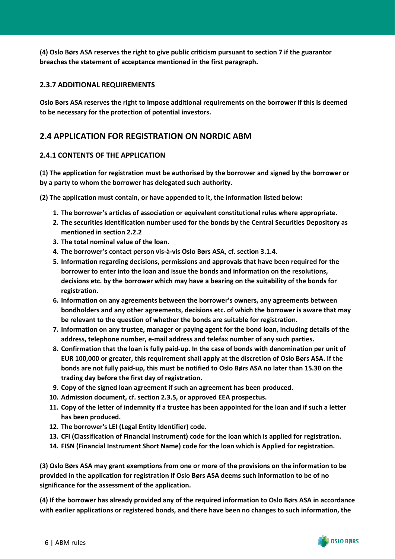**(4) Oslo Børs ASA reserves the right to give public criticism pursuant to section 7 if the guarantor breaches the statement of acceptance mentioned in the first paragraph.** 

#### <span id="page-7-0"></span>**2.3.7 ADDITIONAL REQUIREMENTS**

**Oslo Børs ASA reserves the right to impose additional requirements on the borrower if this is deemed to be necessary for the protection of potential investors.**

# <span id="page-7-1"></span>**2.4 APPLICATION FOR REGISTRATION ON NORDIC ABM**

#### <span id="page-7-2"></span>**2.4.1 CONTENTS OF THE APPLICATION**

**(1) The application for registration must be authorised by the borrower and signed by the borrower or by a party to whom the borrower has delegated such authority.**

**(2) The application must contain, or have appended to it, the information listed below:**

- **1. The borrower's articles of association or equivalent constitutional rules where appropriate.**
- **2. The securities identification number used for the bonds by the Central Securities Depository as mentioned in section 2.2.2**
- **3. The total nominal value of the loan.**
- **4. The borrower's contact person vis-à-vis Oslo Børs ASA, cf. section 3.1.4.**
- **5. Information regarding decisions, permissions and approvals that have been required for the borrower to enter into the loan and issue the bonds and information on the resolutions, decisions etc. by the borrower which may have a bearing on the suitability of the bonds for registration.**
- **6. Information on any agreements between the borrower's owners, any agreements between bondholders and any other agreements, decisions etc. of which the borrower is aware that may be relevant to the question of whether the bonds are suitable for registration.**
- **7. Information on any trustee, manager or paying agent for the bond loan, including details of the address, telephone number, e-mail address and telefax number of any such parties.**
- **8. Confirmation that the loan is fully paid-up. In the case of bonds with denomination per unit of EUR 100,000 or greater, this requirement shall apply at the discretion of Oslo Børs ASA. If the bonds are not fully paid-up, this must be notified to Oslo Børs ASA no later than 15.30 on the trading day before the first day of registration.**
- **9. Copy of the signed loan agreement if such an agreement has been produced.**
- **10. Admission document, cf. section 2.3.5, or approved EEA prospectus.**
- **11. Copy of the letter of indemnity if a trustee has been appointed for the loan and if such a letter has been produced.**
- **12. The borrower's LEI (Legal Entity Identifier) code.**
- **13. CFI (Classification of Financial Instrument) code for the loan which is applied for registration.**
- **14. FISN (Financial Instrument Short Name) code for the loan which is Applied for registration.**

**(3) Oslo Børs ASA may grant exemptions from one or more of the provisions on the information to be provided in the application for registration if Oslo Børs ASA deems such information to be of no significance for the assessment of the application.**

**(4) If the borrower has already provided any of the required information to Oslo Børs ASA in accordance with earlier applications or registered bonds, and there have been no changes to such information, the**

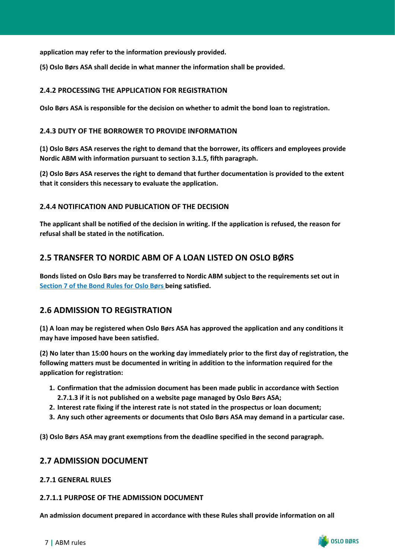**application may refer to the information previously provided.**

**(5) Oslo Børs ASA shall decide in what manner the information shall be provided.**

#### <span id="page-8-0"></span>**2.4.2 PROCESSING THE APPLICATION FOR REGISTRATION**

**Oslo Børs ASA is responsible for the decision on whether to admit the bond loan to registration.**

#### <span id="page-8-1"></span>**2.4.3 DUTY OF THE BORROWER TO PROVIDE INFORMATION**

**(1) Oslo Børs ASA reserves the right to demand that the borrower, its officers and employees provide Nordic ABM with information pursuant to section 3.1.5, fifth paragraph.**

**(2) Oslo Børs ASA reserves the right to demand that further documentation is provided to the extent that it considers this necessary to evaluate the application.**

#### <span id="page-8-2"></span>**2.4.4 NOTIFICATION AND PUBLICATION OF THE DECISION**

**The applicant shall be notified of the decision in writing. If the application is refused, the reason for refusal shall be stated in the notification.**

## <span id="page-8-3"></span>**2.5 TRANSFER TO NORDIC ABM OF A LOAN LISTED ON OSLO BØRS**

**Bonds listed on Oslo Børs may be transferred to Nordic ABM subject to the requirements set out in [Section 7 of the Bond Rules for Oslo Børs](https://www.oslobors.no/ob_eng/Oslo-Boers/Regulations/Bond-Rules) being satisfied.**

## <span id="page-8-4"></span>**2.6 ADMISSION TO REGISTRATION**

**(1) A loan may be registered when Oslo Børs ASA has approved the application and any conditions it may have imposed have been satisfied.**

**(2) No later than 15:00 hours on the working day immediately prior to the first day of registration, the following matters must be documented in writing in addition to the information required for the application for registration:**

- **1. Confirmation that the admission document has been made public in accordance with Section 2.7.1.3 if it is not published on a website page managed by Oslo Børs ASA;**
- **2. Interest rate fixing if the interest rate is not stated in the prospectus or loan document;**
- **3. Any such other agreements or documents that Oslo Børs ASA may demand in a particular case.**

**(3) Oslo Børs ASA may grant exemptions from the deadline specified in the second paragraph.**

## <span id="page-8-5"></span>**2.7 ADMISSION DOCUMENT**

#### <span id="page-8-6"></span>**2.7.1 GENERAL RULES**

#### **2.7.1.1 PURPOSE OF THE ADMISSION DOCUMENT**

**An admission document prepared in accordance with these Rules shall provide information on all**



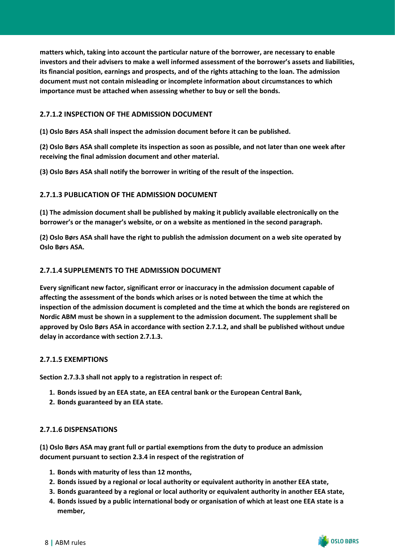**matters which, taking into account the particular nature of the borrower, are necessary to enable investors and their advisers to make a well informed assessment of the borrower's assets and liabilities, its financial position, earnings and prospects, and of the rights attaching to the loan. The admission document must not contain misleading or incomplete information about circumstances to which importance must be attached when assessing whether to buy or sell the bonds.**

#### **2.7.1.2 INSPECTION OF THE ADMISSION DOCUMENT**

**(1) Oslo Børs ASA shall inspect the admission document before it can be published.**

**(2) Oslo Børs ASA shall complete its inspection as soon as possible, and not later than one week after receiving the final admission document and other material.**

**(3) Oslo Børs ASA shall notify the borrower in writing of the result of the inspection.**

#### **2.7.1.3 PUBLICATION OF THE ADMISSION DOCUMENT**

**(1) The admission document shall be published by making it publicly available electronically on the borrower's or the manager's website, or on a website as mentioned in the second paragraph.**

**(2) Oslo Børs ASA shall have the right to publish the admission document on a web site operated by Oslo Børs ASA.**

#### **2.7.1.4 SUPPLEMENTS TO THE ADMISSION DOCUMENT**

**Every significant new factor, significant error or inaccuracy in the admission document capable of affecting the assessment of the bonds which arises or is noted between the time at which the inspection of the admission document is completed and the time at which the bonds are registered on Nordic ABM must be shown in a supplement to the admission document. The supplement shall be approved by Oslo Børs ASA in accordance with section 2.7.1.2, and shall be published without undue delay in accordance with section 2.7.1.3.**

#### **2.7.1.5 EXEMPTIONS**

**Section 2.7.3.3 shall not apply to a registration in respect of:**

- **1. Bonds issued by an EEA state, an EEA central bank or the European Central Bank,**
- **2. Bonds guaranteed by an EEA state.**

#### **2.7.1.6 DISPENSATIONS**

**(1) Oslo Børs ASA may grant full or partial exemptions from the duty to produce an admission document pursuant to section 2.3.4 in respect of the registration of**

- **1. Bonds with maturity of less than 12 months,**
- **2. Bonds issued by a regional or local authority or equivalent authority in another EEA state,**
- **3. Bonds guaranteed by a regional or local authority or equivalent authority in another EEA state,**
- **4. Bonds issued by a public international body or organisation of which at least one EEA state is a member,**

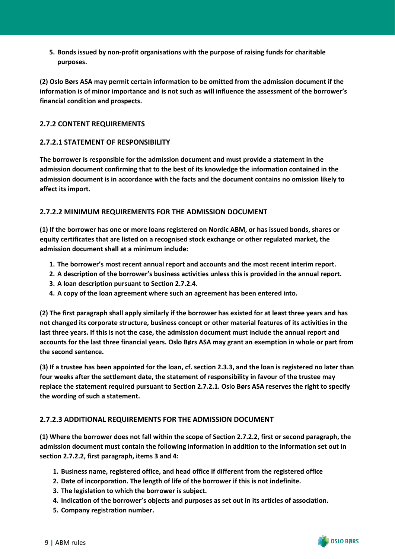**5. Bonds issued by non-profit organisations with the purpose of raising funds for charitable purposes.** 

**(2) Oslo Børs ASA may permit certain information to be omitted from the admission document if the information is of minor importance and is not such as will influence the assessment of the borrower's financial condition and prospects.**

#### <span id="page-10-0"></span>**2.7.2 CONTENT REQUIREMENTS**

#### **2.7.2.1 STATEMENT OF RESPONSIBILITY**

**The borrower is responsible for the admission document and must provide a statement in the admission document confirming that to the best of its knowledge the information contained in the admission document is in accordance with the facts and the document contains no omission likely to affect its import.**

#### **2.7.2.2 MINIMUM REQUIREMENTS FOR THE ADMISSION DOCUMENT**

**(1) If the borrower has one or more loans registered on Nordic ABM, or has issued bonds, shares or equity certificates that are listed on a recognised stock exchange or other regulated market, the admission document shall at a minimum include:**

- **1. The borrower's most recent annual report and accounts and the most recent interim report.**
- **2. A description of the borrower's business activities unless this is provided in the annual report.**
- **3. A loan description pursuant to Section 2.7.2.4.**
- **4. A copy of the loan agreement where such an agreement has been entered into.**

**(2) The first paragraph shall apply similarly if the borrower has existed for at least three years and has not changed its corporate structure, business concept or other material features of its activities in the last three years. If this is not the case, the admission document must include the annual report and accounts for the last three financial years. Oslo Børs ASA may grant an exemption in whole or part from the second sentence.**

**(3) If a trustee has been appointed for the loan, cf. section 2.3.3, and the loan is registered no later than four weeks after the settlement date, the statement of responsibility in favour of the trustee may replace the statement required pursuant to Section 2.7.2.1. Oslo Børs ASA reserves the right to specify the wording of such a statement.**

## **2.7.2.3 ADDITIONAL REQUIREMENTS FOR THE ADMISSION DOCUMENT**

**(1) Where the borrower does not fall within the scope of Section 2.7.2.2, first or second paragraph, the admission document must contain the following information in addition to the information set out in section 2.7.2.2, first paragraph, items 3 and 4:**

- **1. Business name, registered office, and head office if different from the registered office**
- **2. Date of incorporation. The length of life of the borrower if this is not indefinite.**
- **3. The legislation to which the borrower is subject.**
- **4. Indication of the borrower's objects and purposes as set out in its articles of association.**
- **5. Company registration number.**

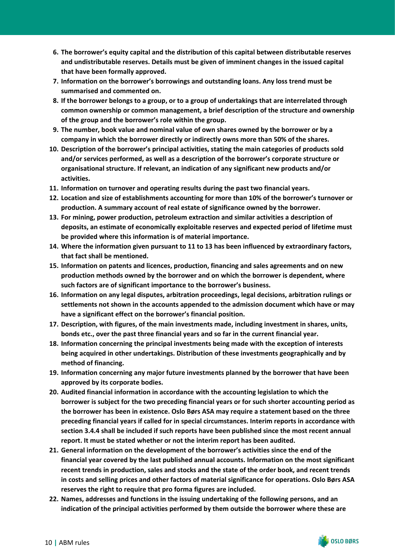- **6. The borrower's equity capital and the distribution of this capital between distributable reserves and undistributable reserves. Details must be given of imminent changes in the issued capital that have been formally approved.**
- **7. Information on the borrower's borrowings and outstanding loans. Any loss trend must be summarised and commented on.**
- **8. If the borrower belongs to a group, or to a group of undertakings that are interrelated through common ownership or common management, a brief description of the structure and ownership of the group and the borrower's role within the group.**
- **9. The number, book value and nominal value of own shares owned by the borrower or by a company in which the borrower directly or indirectly owns more than 50% of the shares.**
- **10. Description of the borrower's principal activities, stating the main categories of products sold and/or services performed, as well as a description of the borrower's corporate structure or organisational structure. If relevant, an indication of any significant new products and/or activities.**
- **11. Information on turnover and operating results during the past two financial years.**
- **12. Location and size of establishments accounting for more than 10% of the borrower's turnover or production. A summary account of real estate of significance owned by the borrower.**
- **13. For mining, power production, petroleum extraction and similar activities a description of deposits, an estimate of economically exploitable reserves and expected period of lifetime must be provided where this information is of material importance.**
- **14. Where the information given pursuant to 11 to 13 has been influenced by extraordinary factors, that fact shall be mentioned.**
- **15. Information on patents and licences, production, financing and sales agreements and on new production methods owned by the borrower and on which the borrower is dependent, where such factors are of significant importance to the borrower's business.**
- **16. Information on any legal disputes, arbitration proceedings, legal decisions, arbitration rulings or settlements not shown in the accounts appended to the admission document which have or may have a significant effect on the borrower's financial position.**
- **17. Description, with figures, of the main investments made, including investment in shares, units, bonds etc., over the past three financial years and so far in the current financial year.**
- **18. Information concerning the principal investments being made with the exception of interests being acquired in other undertakings. Distribution of these investments geographically and by method of financing.**
- **19. Information concerning any major future investments planned by the borrower that have been approved by its corporate bodies.**
- **20. Audited financial information in accordance with the accounting legislation to which the borrower is subject for the two preceding financial years or for such shorter accounting period as the borrower has been in existence. Oslo Børs ASA may require a statement based on the three preceding financial years if called for in special circumstances. Interim reports in accordance with section 3.4.4 shall be included if such reports have been published since the most recent annual report. It must be stated whether or not the interim report has been audited.**
- **21. General information on the development of the borrower's activities since the end of the financial year covered by the last published annual accounts. Information on the most significant recent trends in production, sales and stocks and the state of the order book, and recent trends in costs and selling prices and other factors of material significance for operations. Oslo Børs ASA reserves the right to require that pro forma figures are included.**
- **22. Names, addresses and functions in the issuing undertaking of the following persons, and an indication of the principal activities performed by them outside the borrower where these are**

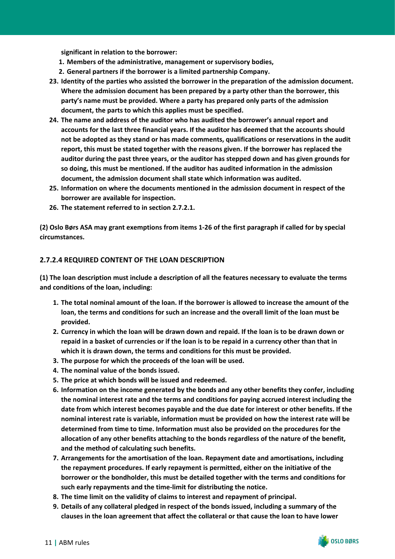**significant in relation to the borrower:**

- **1. Members of the administrative, management or supervisory bodies,**
- **2. General partners if the borrower is a limited partnership Company.**
- **23. Identity of the parties who assisted the borrower in the preparation of the admission document. Where the admission document has been prepared by a party other than the borrower, this party's name must be provided. Where a party has prepared only parts of the admission document, the parts to which this applies must be specified.**
- **24. The name and address of the auditor who has audited the borrower's annual report and accounts for the last three financial years. If the auditor has deemed that the accounts should not be adopted as they stand or has made comments, qualifications or reservations in the audit report, this must be stated together with the reasons given. If the borrower has replaced the auditor during the past three years, or the auditor has stepped down and has given grounds for so doing, this must be mentioned. If the auditor has audited information in the admission document, the admission document shall state which information was audited.**
- **25. Information on where the documents mentioned in the admission document in respect of the borrower are available for inspection.**
- **26. The statement referred to in section 2.7.2.1.**

**(2) Oslo Børs ASA may grant exemptions from items 1-26 of the first paragraph if called for by special circumstances.**

#### **2.7.2.4 REQUIRED CONTENT OF THE LOAN DESCRIPTION**

**(1) The loan description must include a description of all the features necessary to evaluate the terms and conditions of the loan, including:**

- **1. The total nominal amount of the loan. If the borrower is allowed to increase the amount of the loan, the terms and conditions for such an increase and the overall limit of the loan must be provided.**
- **2. Currency in which the loan will be drawn down and repaid. If the loan is to be drawn down or repaid in a basket of currencies or if the loan is to be repaid in a currency other than that in which it is drawn down, the terms and conditions for this must be provided.**
- **3. The purpose for which the proceeds of the loan will be used.**
- **4. The nominal value of the bonds issued.**
- **5. The price at which bonds will be issued and redeemed.**
- **6. Information on the income generated by the bonds and any other benefits they confer, including the nominal interest rate and the terms and conditions for paying accrued interest including the date from which interest becomes payable and the due date for interest or other benefits. If the nominal interest rate is variable, information must be provided on how the interest rate will be determined from time to time. Information must also be provided on the procedures for the allocation of any other benefits attaching to the bonds regardless of the nature of the benefit, and the method of calculating such benefits.**
- **7. Arrangements for the amortisation of the loan. Repayment date and amortisations, including the repayment procedures. If early repayment is permitted, either on the initiative of the borrower or the bondholder, this must be detailed together with the terms and conditions for such early repayments and the time-limit for distributing the notice.**
- **8. The time limit on the validity of claims to interest and repayment of principal.**
- **9. Details of any collateral pledged in respect of the bonds issued, including a summary of the clauses in the loan agreement that affect the collateral or that cause the loan to have lower**

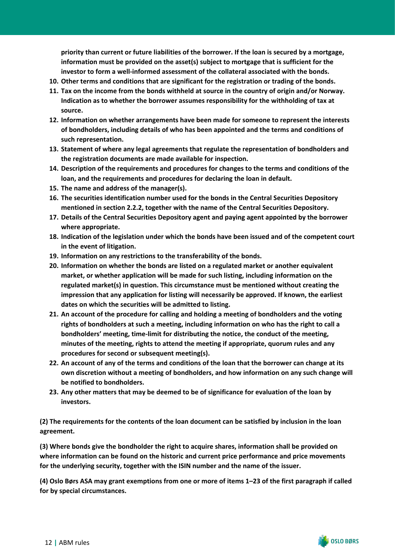**priority than current or future liabilities of the borrower. If the loan is secured by a mortgage, information must be provided on the asset(s) subject to mortgage that is sufficient for the investor to form a well-informed assessment of the collateral associated with the bonds.**

- **10. Other terms and conditions that are significant for the registration or trading of the bonds.**
- **11. Tax on the income from the bonds withheld at source in the country of origin and/or Norway. Indication as to whether the borrower assumes responsibility for the withholding of tax at source.**
- **12. Information on whether arrangements have been made for someone to represent the interests of bondholders, including details of who has been appointed and the terms and conditions of such representation.**
- **13. Statement of where any legal agreements that regulate the representation of bondholders and the registration documents are made available for inspection.**
- **14. Description of the requirements and procedures for changes to the terms and conditions of the loan, and the requirements and procedures for declaring the loan in default.**
- **15. The name and address of the manager(s).**
- **16. The securities identification number used for the bonds in the Central Securities Depository mentioned in section 2.2.2, together with the name of the Central Securities Depository.**
- **17. Details of the Central Securities Depository agent and paying agent appointed by the borrower where appropriate.**
- **18. Indication of the legislation under which the bonds have been issued and of the competent court in the event of litigation.**
- **19. Information on any restrictions to the transferability of the bonds.**
- **20. Information on whether the bonds are listed on a regulated market or another equivalent market, or whether application will be made for such listing, including information on the regulated market(s) in question. This circumstance must be mentioned without creating the impression that any application for listing will necessarily be approved. If known, the earliest dates on which the securities will be admitted to listing.**
- **21. An account of the procedure for calling and holding a meeting of bondholders and the voting rights of bondholders at such a meeting, including information on who has the right to call a bondholders' meeting, time-limit for distributing the notice, the conduct of the meeting, minutes of the meeting, rights to attend the meeting if appropriate, quorum rules and any procedures for second or subsequent meeting(s).**
- **22. An account of any of the terms and conditions of the loan that the borrower can change at its own discretion without a meeting of bondholders, and how information on any such change will be notified to bondholders.**
- **23. Any other matters that may be deemed to be of significance for evaluation of the loan by investors.**

**(2) The requirements for the contents of the loan document can be satisfied by inclusion in the loan agreement.**

**(3) Where bonds give the bondholder the right to acquire shares, information shall be provided on where information can be found on the historic and current price performance and price movements for the underlying security, together with the ISIN number and the name of the issuer.**

**(4) Oslo Børs ASA may grant exemptions from one or more of items 1–23 of the first paragraph if called for by special circumstances.**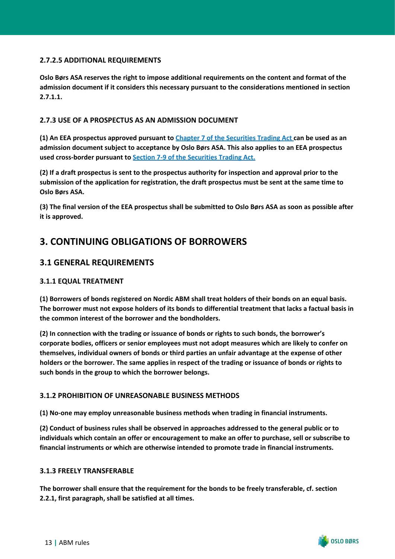#### **2.7.2.5 ADDITIONAL REQUIREMENTS**

**Oslo Børs ASA reserves the right to impose additional requirements on the content and format of the admission document if it considers this necessary pursuant to the considerations mentioned in section 2.7.1.1.**

#### <span id="page-14-0"></span>**2.7.3 USE OF A PROSPECTUS AS AN ADMISSION DOCUMENT**

**(1) An EEA prospectus approved pursuant to [Chapter 7 of the Securities Trading Act c](https://www.finanstilsynet.no/globalassets/laws-and-regulations/laws/securities-trading-act.pdf)an be used as an admission document subject to acceptance by Oslo Børs ASA. This also applies to an EEA prospectus used cross-border pursuant to [Section 7-9 of the Securities Trading Act.](https://www.finanstilsynet.no/globalassets/laws-and-regulations/laws/securities-trading-act.pdf)**

**(2) If a draft prospectus is sent to the prospectus authority for inspection and approval prior to the submission of the application for registration, the draft prospectus must be sent at the same time to Oslo Børs ASA.**

**(3) The final version of the EEA prospectus shall be submitted to Oslo Børs ASA as soon as possible after it is approved.**

# <span id="page-14-1"></span>**3. CONTINUING OBLIGATIONS OF BORROWERS**

# <span id="page-14-2"></span>**3.1 GENERAL REQUIREMENTS**

#### <span id="page-14-3"></span>**3.1.1 EQUAL TREATMENT**

**(1) Borrowers of bonds registered on Nordic ABM shall treat holders of their bonds on an equal basis. The borrower must not expose holders of its bonds to differential treatment that lacks a factual basis in the common interest of the borrower and the bondholders.**

**(2) In connection with the trading or issuance of bonds or rights to such bonds, the borrower's corporate bodies, officers or senior employees must not adopt measures which are likely to confer on themselves, individual owners of bonds or third parties an unfair advantage at the expense of other holders or the borrower. The same applies in respect of the trading or issuance of bonds or rights to such bonds in the group to which the borrower belongs.**

#### <span id="page-14-4"></span>**3.1.2 PROHIBITION OF UNREASONABLE BUSINESS METHODS**

**(1) No-one may employ unreasonable business methods when trading in financial instruments.**

**(2) Conduct of business rules shall be observed in approaches addressed to the general public or to individuals which contain an offer or encouragement to make an offer to purchase, sell or subscribe to financial instruments or which are otherwise intended to promote trade in financial instruments.**

#### <span id="page-14-5"></span>**3.1.3 FREELY TRANSFERABLE**

**The borrower shall ensure that the requirement for the bonds to be freely transferable, cf. section 2.2.1, first paragraph, shall be satisfied at all times.**

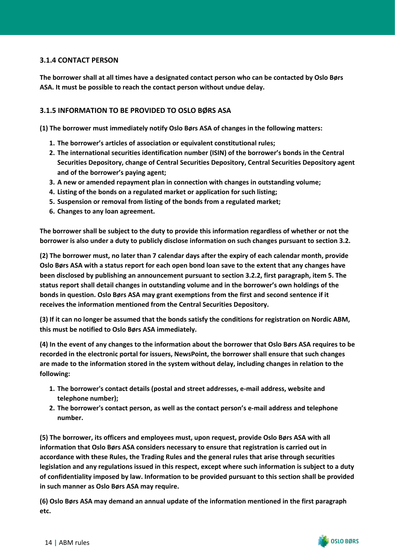#### <span id="page-15-0"></span>**3.1.4 CONTACT PERSON**

**The borrower shall at all times have a designated contact person who can be contacted by Oslo Børs ASA. It must be possible to reach the contact person without undue delay.**

#### <span id="page-15-1"></span>**3.1.5 INFORMATION TO BE PROVIDED TO OSLO BØRS ASA**

**(1) The borrower must immediately notify Oslo Børs ASA of changes in the following matters:**

- **1. The borrower's articles of association or equivalent constitutional rules;**
- **2. The international securities identification number (ISIN) of the borrower's bonds in the Central Securities Depository, change of Central Securities Depository, Central Securities Depository agent and of the borrower's paying agent;**
- **3. A new or amended repayment plan in connection with changes in outstanding volume;**
- **4. Listing of the bonds on a regulated market or application for such listing;**
- **5. Suspension or removal from listing of the bonds from a regulated market;**
- **6. Changes to any loan agreement.**

**The borrower shall be subject to the duty to provide this information regardless of whether or not the borrower is also under a duty to publicly disclose information on such changes pursuant to section 3.2.**

**(2) The borrower must, no later than 7 calendar days after the expiry of each calendar month, provide Oslo Børs ASA with a status report for each open bond loan save to the extent that any changes have been disclosed by publishing an announcement pursuant to section 3.2.2, first paragraph, item 5. The status report shall detail changes in outstanding volume and in the borrower's own holdings of the bonds in question. Oslo Børs ASA may grant exemptions from the first and second sentence if it receives the information mentioned from the Central Securities Depository.**

**(3) If it can no longer be assumed that the bonds satisfy the conditions for registration on Nordic ABM, this must be notified to Oslo Børs ASA immediately.**

**(4) In the event of any changes to the information about the borrower that Oslo Børs ASA requires to be recorded in the electronic portal for issuers, NewsPoint, the borrower shall ensure that such changes are made to the information stored in the system without delay, including changes in relation to the following:**

- **1. The borrower's contact details (postal and street addresses, e-mail address, website and telephone number);**
- **2. The borrower's contact person, as well as the contact person's e-mail address and telephone number.**

**(5) The borrower, its officers and employees must, upon request, provide Oslo Børs ASA with all information that Oslo Børs ASA considers necessary to ensure that registration is carried out in accordance with these Rules, the Trading Rules and the general rules that arise through securities legislation and any regulations issued in this respect, except where such information is subject to a duty of confidentiality imposed by law. Information to be provided pursuant to this section shall be provided in such manner as Oslo Børs ASA may require.**

**(6) Oslo Børs ASA may demand an annual update of the information mentioned in the first paragraph etc.**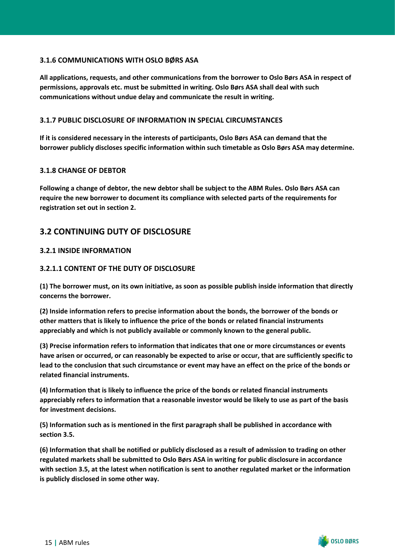#### <span id="page-16-0"></span>**3.1.6 COMMUNICATIONS WITH OSLO BØRS ASA**

**All applications, requests, and other communications from the borrower to Oslo Børs ASA in respect of permissions, approvals etc. must be submitted in writing. Oslo Børs ASA shall deal with such communications without undue delay and communicate the result in writing.**

#### <span id="page-16-1"></span>**3.1.7 PUBLIC DISCLOSURE OF INFORMATION IN SPECIAL CIRCUMSTANCES**

**If it is considered necessary in the interests of participants, Oslo Børs ASA can demand that the borrower publicly discloses specific information within such timetable as Oslo Børs ASA may determine.**

#### <span id="page-16-2"></span>**3.1.8 CHANGE OF DEBTOR**

**Following a change of debtor, the new debtor shall be subject to the ABM Rules. Oslo Børs ASA can require the new borrower to document its compliance with selected parts of the requirements for registration set out in section 2.**

## <span id="page-16-3"></span>**3.2 CONTINUING DUTY OF DISCLOSURE**

#### <span id="page-16-4"></span>**3.2.1 INSIDE INFORMATION**

#### **3.2.1.1 CONTENT OF THE DUTY OF DISCLOSURE**

**(1) The borrower must, on its own initiative, as soon as possible publish inside information that directly concerns the borrower.**

**(2) Inside information refers to precise information about the bonds, the borrower of the bonds or other matters that is likely to influence the price of the bonds or related financial instruments appreciably and which is not publicly available or commonly known to the general public.**

**(3) Precise information refers to information that indicates that one or more circumstances or events have arisen or occurred, or can reasonably be expected to arise or occur, that are sufficiently specific to lead to the conclusion that such circumstance or event may have an effect on the price of the bonds or related financial instruments.**

**(4) Information that is likely to influence the price of the bonds or related financial instruments appreciably refers to information that a reasonable investor would be likely to use as part of the basis for investment decisions.**

**(5) Information such as is mentioned in the first paragraph shall be published in accordance with section 3.5.**

**(6) Information that shall be notified or publicly disclosed as a result of admission to trading on other regulated markets shall be submitted to Oslo Børs ASA in writing for public disclosure in accordance with section 3.5, at the latest when notification is sent to another regulated market or the information is publicly disclosed in some other way.**

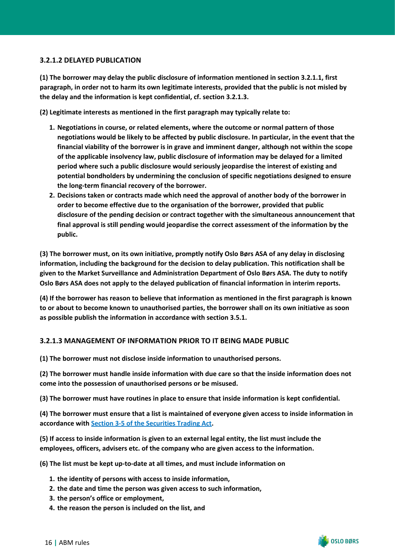#### **3.2.1.2 DELAYED PUBLICATION**

**(1) The borrower may delay the public disclosure of information mentioned in section 3.2.1.1, first paragraph, in order not to harm its own legitimate interests, provided that the public is not misled by the delay and the information is kept confidential, cf. section 3.2.1.3.**

**(2) Legitimate interests as mentioned in the first paragraph may typically relate to:**

- **1. Negotiations in course, or related elements, where the outcome or normal pattern of those negotiations would be likely to be affected by public disclosure. In particular, in the event that the financial viability of the borrower is in grave and imminent danger, although not within the scope of the applicable insolvency law, public disclosure of information may be delayed for a limited period where such a public disclosure would seriously jeopardise the interest of existing and potential bondholders by undermining the conclusion of specific negotiations designed to ensure the long-term financial recovery of the borrower.**
- **2. Decisions taken or contracts made which need the approval of another body of the borrower in order to become effective due to the organisation of the borrower, provided that public disclosure of the pending decision or contract together with the simultaneous announcement that final approval is still pending would jeopardise the correct assessment of the information by the public.**

**(3) The borrower must, on its own initiative, promptly notify Oslo Børs ASA of any delay in disclosing information, including the background for the decision to delay publication. This notification shall be given to the Market Surveillance and Administration Department of Oslo Børs ASA. The duty to notify Oslo Børs ASA does not apply to the delayed publication of financial information in interim reports.**

**(4) If the borrower has reason to believe that information as mentioned in the first paragraph is known to or about to become known to unauthorised parties, the borrower shall on its own initiative as soon as possible publish the information in accordance with section 3.5.1.**

#### **3.2.1.3 MANAGEMENT OF INFORMATION PRIOR TO IT BEING MADE PUBLIC**

**(1) The borrower must not disclose inside information to unauthorised persons.**

**(2) The borrower must handle inside information with due care so that the inside information does not come into the possession of unauthorised persons or be misused.**

**(3) The borrower must have routines in place to ensure that inside information is kept confidential.**

**(4) The borrower must ensure that a list is maintained of everyone given access to inside information in accordance with [Section 3-5 of the Securities Trading Act](https://www.finanstilsynet.no/globalassets/laws-and-regulations/laws/securities-trading-act.pdf).**

**(5) If access to inside information is given to an external legal entity, the list must include the employees, officers, advisers etc. of the company who are given access to the information.**

**(6) The list must be kept up-to-date at all times, and must include information on**

- **1. the identity of persons with access to inside information,**
- **2. the date and time the person was given access to such information,**
- **3. the person's office or employment,**
- **4. the reason the person is included on the list, and**

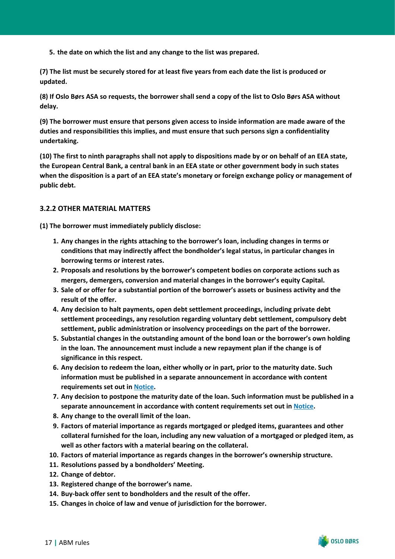**5. the date on which the list and any change to the list was prepared.**

**(7) The list must be securely stored for at least five years from each date the list is produced or updated.**

**(8) If Oslo Børs ASA so requests, the borrower shall send a copy of the list to Oslo Børs ASA without delay.**

**(9) The borrower must ensure that persons given access to inside information are made aware of the duties and responsibilities this implies, and must ensure that such persons sign a confidentiality undertaking.**

**(10) The first to ninth paragraphs shall not apply to dispositions made by or on behalf of an EEA state, the European Central Bank, a central bank in an EEA state or other government body in such states when the disposition is a part of an EEA state's monetary or foreign exchange policy or management of public debt.**

#### <span id="page-18-0"></span>**3.2.2 OTHER MATERIAL MATTERS**

**(1) The borrower must immediately publicly disclose:**

- **1. Any changes in the rights attaching to the borrower's loan, including changes in terms or conditions that may indirectly affect the bondholder's legal status, in particular changes in borrowing terms or interest rates.**
- **2. Proposals and resolutions by the borrower's competent bodies on corporate actions such as mergers, demergers, conversion and material changes in the borrower's equity Capital.**
- **3. Sale of or offer for a substantial portion of the borrower's assets or business activity and the result of the offer.**
- **4. Any decision to halt payments, open debt settlement proceedings, including private debt settlement proceedings, any resolution regarding voluntary debt settlement, compulsory debt settlement, public administration or insolvency proceedings on the part of the borrower.**
- **5. Substantial changes in the outstanding amount of the bond loan or the borrower's own holding in the loan. The announcement must include a new repayment plan if the change is of significance in this respect.**
- **6. Any decision to redeem the loan, either wholly or in part, prior to the maturity date. Such information must be published in a separate announcement in accordance with content requirements set out in [Notice.](https://www.oslobors.no/ob_eng/Oslo-Boers/Regulations/Notices-and-other-documentation)**
- **7. Any decision to postpone the maturity date of the loan. Such information must be published in a separate announcement in accordance with content requirements set out in [Notice.](https://www.oslobors.no/ob_eng/Oslo-Boers/Regulations/Notices-and-other-documentation)**
- **8. Any change to the overall limit of the loan.**
- **9. Factors of material importance as regards mortgaged or pledged items, guarantees and other collateral furnished for the loan, including any new valuation of a mortgaged or pledged item, as well as other factors with a material bearing on the collateral.**
- **10. Factors of material importance as regards changes in the borrower's ownership structure.**
- **11. Resolutions passed by a bondholders' Meeting.**
- **12. Change of debtor.**
- **13. Registered change of the borrower's name.**
- **14. Buy-back offer sent to bondholders and the result of the offer.**
- **15. Changes in choice of law and venue of jurisdiction for the borrower.**

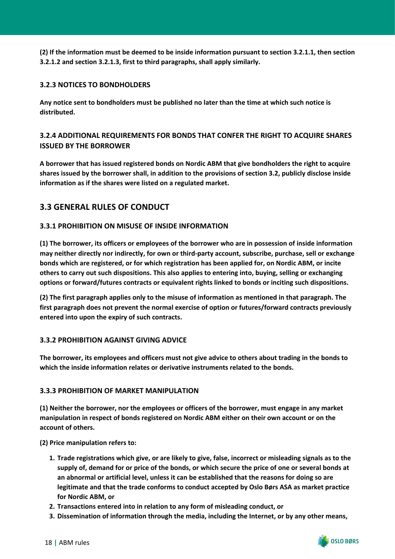**(2) If the information must be deemed to be inside information pursuant to section 3.2.1.1, then section 3.2.1.2 and section 3.2.1.3, first to third paragraphs, shall apply similarly.**

#### <span id="page-19-0"></span>**3.2.3 NOTICES TO BONDHOLDERS**

**Any notice sent to bondholders must be published no later than the time at which such notice is distributed.**

## <span id="page-19-1"></span>**3.2.4 ADDITIONAL REQUIREMENTS FOR BONDS THAT CONFER THE RIGHT TO ACQUIRE SHARES ISSUED BY THE BORROWER**

**A borrower that has issued registered bonds on Nordic ABM that give bondholders the right to acquire shares issued by the borrower shall, in addition to the provisions of section 3.2, publicly disclose inside information as if the shares were listed on a regulated market.**

# <span id="page-19-2"></span>**3.3 GENERAL RULES OF CONDUCT**

#### <span id="page-19-3"></span>**3.3.1 PROHIBITION ON MISUSE OF INSIDE INFORMATION**

**(1) The borrower, its officers or employees of the borrower who are in possession of inside information may neither directly nor indirectly, for own or third-party account, subscribe, purchase, sell or exchange bonds which are registered, or for which registration has been applied for, on Nordic ABM, or incite others to carry out such dispositions. This also applies to entering into, buying, selling or exchanging options or forward/futures contracts or equivalent rights linked to bonds or inciting such dispositions.**

**(2) The first paragraph applies only to the misuse of information as mentioned in that paragraph. The first paragraph does not prevent the normal exercise of option or futures/forward contracts previously entered into upon the expiry of such contracts.**

#### <span id="page-19-4"></span>**3.3.2 PROHIBITION AGAINST GIVING ADVICE**

**The borrower, its employees and officers must not give advice to others about trading in the bonds to which the inside information relates or derivative instruments related to the bonds.**

#### <span id="page-19-5"></span>**3.3.3 PROHIBITION OF MARKET MANIPULATION**

**(1) Neither the borrower, nor the employees or officers of the borrower, must engage in any market manipulation in respect of bonds registered on Nordic ABM either on their own account or on the account of others.**

**(2) Price manipulation refers to:**

- **1. Trade registrations which give, or are likely to give, false, incorrect or misleading signals as to the supply of, demand for or price of the bonds, or which secure the price of one or several bonds at an abnormal or artificial level, unless it can be established that the reasons for doing so are legitimate and that the trade conforms to conduct accepted by Oslo Børs ASA as market practice for Nordic ABM, or**
- **2. Transactions entered into in relation to any form of misleading conduct, or**
- **3. Dissemination of information through the media, including the Internet, or by any other means,**

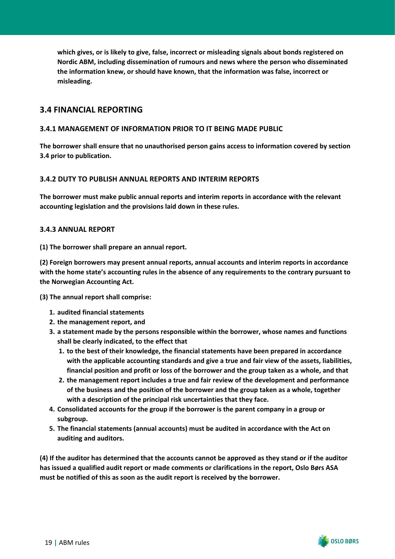**which gives, or is likely to give, false, incorrect or misleading signals about bonds registered on Nordic ABM, including dissemination of rumours and news where the person who disseminated the information knew, or should have known, that the information was false, incorrect or misleading.**

## <span id="page-20-0"></span>**3.4 FINANCIAL REPORTING**

#### <span id="page-20-1"></span>**3.4.1 MANAGEMENT OF INFORMATION PRIOR TO IT BEING MADE PUBLIC**

**The borrower shall ensure that no unauthorised person gains access to information covered by section 3.4 prior to publication.**

#### <span id="page-20-2"></span>**3.4.2 DUTY TO PUBLISH ANNUAL REPORTS AND INTERIM REPORTS**

**The borrower must make public annual reports and interim reports in accordance with the relevant accounting legislation and the provisions laid down in these rules.**

#### <span id="page-20-3"></span>**3.4.3 ANNUAL REPORT**

**(1) The borrower shall prepare an annual report.**

**(2) Foreign borrowers may present annual reports, annual accounts and interim reports in accordance with the home state's accounting rules in the absence of any requirements to the contrary pursuant to the Norwegian Accounting Act.**

**(3) The annual report shall comprise:**

- **1. audited financial statements**
- **2. the management report, and**
- **3. a statement made by the persons responsible within the borrower, whose names and functions shall be clearly indicated, to the effect that**
	- **1. to the best of their knowledge, the financial statements have been prepared in accordance with the applicable accounting standards and give a true and fair view of the assets, liabilities, financial position and profit or loss of the borrower and the group taken as a whole, and that**
	- **2. the management report includes a true and fair review of the development and performance of the business and the position of the borrower and the group taken as a whole, together with a description of the principal risk uncertainties that they face.**
- **4. Consolidated accounts for the group if the borrower is the parent company in a group or subgroup.**
- **5. The financial statements (annual accounts) must be audited in accordance with the Act on auditing and auditors.**

**(4) If the auditor has determined that the accounts cannot be approved as they stand or if the auditor has issued a qualified audit report or made comments or clarifications in the report, Oslo Børs ASA must be notified of this as soon as the audit report is received by the borrower.**

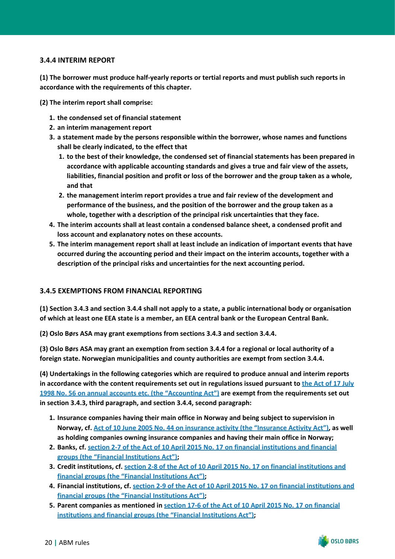#### <span id="page-21-0"></span>**3.4.4 INTERIM REPORT**

**(1) The borrower must produce half-yearly reports or tertial reports and must publish such reports in accordance with the requirements of this chapter.**

**(2) The interim report shall comprise:**

- **1. the condensed set of financial statement**
- **2. an interim management report**
- **3. a statement made by the persons responsible within the borrower, whose names and functions shall be clearly indicated, to the effect that**
	- **1. to the best of their knowledge, the condensed set of financial statements has been prepared in accordance with applicable accounting standards and gives a true and fair view of the assets, liabilities, financial position and profit or loss of the borrower and the group taken as a whole, and that**
	- **2. the management interim report provides a true and fair review of the development and performance of the business, and the position of the borrower and the group taken as a whole, together with a description of the principal risk uncertainties that they face.**
- **4. The interim accounts shall at least contain a condensed balance sheet, a condensed profit and loss account and explanatory notes on these accounts.**
- **5. The interim management report shall at least include an indication of important events that have occurred during the accounting period and their impact on the interim accounts, together with a description of the principal risks and uncertainties for the next accounting period.**

#### <span id="page-21-1"></span>**3.4.5 EXEMPTIONS FROM FINANCIAL REPORTING**

**(1) Section 3.4.3 and section 3.4.4 shall not apply to a state, a public international body or organisation of which at least one EEA state is a member, an EEA central bank or the European Central Bank.**

**(2) Oslo Børs ASA may grant exemptions from sections 3.4.3 and section 3.4.4.**

**(3) Oslo Børs ASA may grant an exemption from section 3.4.4 for a regional or local authority of a foreign state. Norwegian municipalities and county authorities are exempt from section 3.4.4.**

**(4) Undertakings in the following categories which are required to produce annual and interim reports in accordance with the content requirements set out in regulations issued pursuant to [the Act of 17 July](https://lovdata.no/NL/lov/1998-07-17-56) [1998 No. 56 on annual accounts etc. \(the "Accounting Act"\)](https://lovdata.no/NL/lov/1998-07-17-56) are exempt from the requirements set out in section 3.4.3, third paragraph, and section 3.4.4, second paragraph:**

- **1. Insurance companies having their main office in Norway and being subject to supervision in Norway, cf. [Act of 10 June 2005 No. 44 on insurance activity \(the "Insurance Activity Act"\)](https://lovdata.no/NL/lov/2005-06-10-44), as well as holding companies owning insurance companies and having their main office in Norway;**
- **2. Banks, cf. [section 2-7 of the Act of 10 April 2015 No. 17 on financial institutions and financial](https://lovdata.no/NL/lov/2015-04-10-17/§2-7) [groups \(the "Financial Institutions Act"\)](https://lovdata.no/NL/lov/2015-04-10-17/§2-7);**
- **3. Credit institutions, cf. [section 2-8 of the Act of 10 April 2015 No. 17 on financial institutions and](https://lovdata.no/NL/lov/2015-04-10-17/§2-8) [financial groups \(the "Financial Institutions Act"\);](https://lovdata.no/NL/lov/2015-04-10-17/§2-8)**
- **4. Financial institutions, cf. [section 2-9 of the Act of 10 April 2015 No. 17 on financial institutions and](https://lovdata.no/NL/lov/2015-04-10-17/§2-9) [financial groups \(the "Financial Institutions Act"\);](https://lovdata.no/NL/lov/2015-04-10-17/§2-9)**
- **5. Parent companies as mentioned in [section 17-6 of the Act of 10 April 2015 No. 17 on financial](https://lovdata.no/NL/lov/2015-04-10-17/§17-6) [institutions and financial groups \(the "Financial Institutions Act"\);](https://lovdata.no/NL/lov/2015-04-10-17/§17-6)**

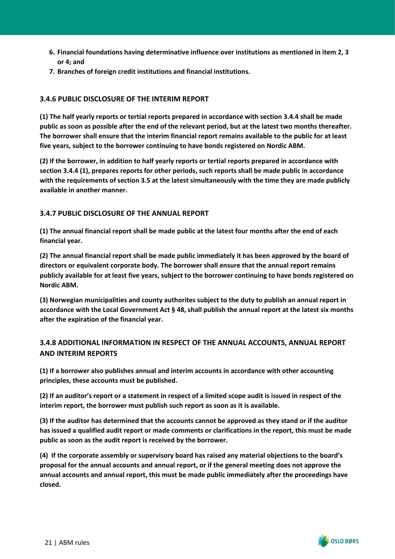- **6. Financial foundations having determinative influence over institutions as mentioned in item 2, 3 or 4; and**
- **7. Branches of foreign credit institutions and financial institutions.**

#### <span id="page-22-0"></span>**3.4.6 PUBLIC DISCLOSURE OF THE INTERIM REPORT**

**(1) The half yearly reports or tertial reports prepared in accordance with section 3.4.4 shall be made public as soon as possible after the end of the relevant period, but at the latest two months thereafter. The borrower shall ensure that the interim financial report remains available to the public for at least five years, subject to the borrower continuing to have bonds registered on Nordic ABM.**

**(2) If the borrower, in addition to half yearly reports or tertial reports prepared in accordance with section 3.4.4 (1), prepares reports for other periods, such reports shall be made public in accordance with the requirements of section 3.5 at the latest simultaneously with the time they are made publicly available in another manner.**

## <span id="page-22-1"></span>**3.4.7 PUBLIC DISCLOSURE OF THE ANNUAL REPORT**

**(1) The annual financial report shall be made public at the latest four months after the end of each financial year.**

**(2) The annual financial report shall be made public immediately it has been approved by the board of directors or equivalent corporate body. The borrower shall ensure that the annual report remains publicly available for at least five years, subject to the borrower continuing to have bonds registered on Nordic ABM.**

**(3) Norwegian municipalities and county authorites subject to the duty to publish an annual report in accordance with the Local Government Act § 48, shall publish the annual report at the latest six months after the expiration of the financial year.**

## <span id="page-22-2"></span>**3.4.8 ADDITIONAL INFORMATION IN RESPECT OF THE ANNUAL ACCOUNTS, ANNUAL REPORT AND INTERIM REPORTS**

**(1) If a borrower also publishes annual and interim accounts in accordance with other accounting principles, these accounts must be published.**

**(2) If an auditor's report or a statement in respect of a limited scope audit is issued in respect of the interim report, the borrower must publish such report as soon as it is available.**

**(3) If the auditor has determined that the accounts cannot be approved as they stand or if the auditor has issued a qualified audit report or made comments or clarifications in the report, this must be made public as soon as the audit report is received by the borrower.**

**(4) If the corporate assembly or supervisory board has raised any material objections to the board's proposal for the annual accounts and annual report, or if the general meeting does not approve the annual accounts and annual report, this must be made public immediately after the proceedings have closed.**

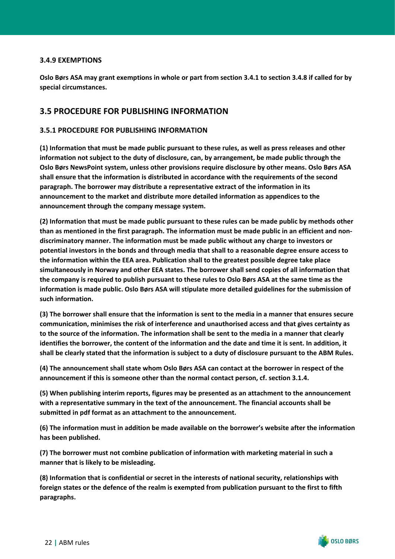#### <span id="page-23-0"></span>**3.4.9 EXEMPTIONS**

**Oslo Børs ASA may grant exemptions in whole or part from section 3.4.1 to section 3.4.8 if called for by special circumstances.**

## <span id="page-23-1"></span>**3.5 PROCEDURE FOR PUBLISHING INFORMATION**

#### <span id="page-23-2"></span>**3.5.1 PROCEDURE FOR PUBLISHING INFORMATION**

**(1) Information that must be made public pursuant to these rules, as well as press releases and other information not subject to the duty of disclosure, can, by arrangement, be made public through the Oslo Børs NewsPoint system, unless other provisions require disclosure by other means. Oslo Børs ASA shall ensure that the information is distributed in accordance with the requirements of the second paragraph. The borrower may distribute a representative extract of the information in its announcement to the market and distribute more detailed information as appendices to the announcement through the company message system.**

**(2) Information that must be made public pursuant to these rules can be made public by methods other than as mentioned in the first paragraph. The information must be made public in an efficient and nondiscriminatory manner. The information must be made public without any charge to investors or potential investors in the bonds and through media that shall to a reasonable degree ensure access to the information within the EEA area. Publication shall to the greatest possible degree take place simultaneously in Norway and other EEA states. The borrower shall send copies of all information that the company is required to publish pursuant to these rules to Oslo Børs ASA at the same time as the information is made public. Oslo Børs ASA will stipulate more detailed guidelines for the submission of such information.**

**(3) The borrower shall ensure that the information is sent to the media in a manner that ensures secure communication, minimises the risk of interference and unauthorised access and that gives certainty as to the source of the information. The information shall be sent to the media in a manner that clearly identifies the borrower, the content of the information and the date and time it is sent. In addition, it shall be clearly stated that the information is subject to a duty of disclosure pursuant to the ABM Rules.**

**(4) The announcement shall state whom Oslo Børs ASA can contact at the borrower in respect of the announcement if this is someone other than the normal contact person, cf. section 3.1.4.**

**(5) When publishing interim reports, figures may be presented as an attachment to the announcement with a representative summary in the text of the announcement. The financial accounts shall be submitted in pdf format as an attachment to the announcement.**

**(6) The information must in addition be made available on the borrower's website after the information has been published.**

**(7) The borrower must not combine publication of information with marketing material in such a manner that is likely to be misleading.**

**(8) Information that is confidential or secret in the interests of national security, relationships with foreign states or the defence of the realm is exempted from publication pursuant to the first to fifth paragraphs.**

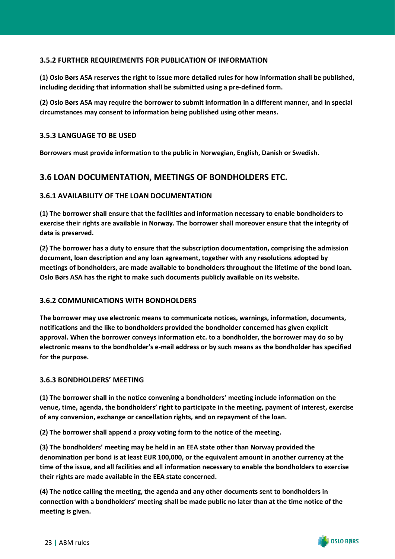#### <span id="page-24-0"></span>**3.5.2 FURTHER REQUIREMENTS FOR PUBLICATION OF INFORMATION**

**(1) Oslo Børs ASA reserves the right to issue more detailed rules for how information shall be published, including deciding that information shall be submitted using a pre-defined form.**

**(2) Oslo Børs ASA may require the borrower to submit information in a different manner, and in special circumstances may consent to information being published using other means.**

#### <span id="page-24-1"></span>**3.5.3 LANGUAGE TO BE USED**

**Borrowers must provide information to the public in Norwegian, English, Danish or Swedish.**

# <span id="page-24-2"></span>**3.6 LOAN DOCUMENTATION, MEETINGS OF BONDHOLDERS ETC.**

#### <span id="page-24-3"></span>**3.6.1 AVAILABILITY OF THE LOAN DOCUMENTATION**

**(1) The borrower shall ensure that the facilities and information necessary to enable bondholders to exercise their rights are available in Norway. The borrower shall moreover ensure that the integrity of data is preserved.**

**(2) The borrower has a duty to ensure that the subscription documentation, comprising the admission document, loan description and any loan agreement, together with any resolutions adopted by meetings of bondholders, are made available to bondholders throughout the lifetime of the bond loan. Oslo Børs ASA has the right to make such documents publicly available on its website.**

#### <span id="page-24-4"></span>**3.6.2 COMMUNICATIONS WITH BONDHOLDERS**

**The borrower may use electronic means to communicate notices, warnings, information, documents, notifications and the like to bondholders provided the bondholder concerned has given explicit approval. When the borrower conveys information etc. to a bondholder, the borrower may do so by electronic means to the bondholder's e-mail address or by such means as the bondholder has specified for the purpose.**

#### <span id="page-24-5"></span>**3.6.3 BONDHOLDERS' MEETING**

**(1) The borrower shall in the notice convening a bondholders' meeting include information on the venue, time, agenda, the bondholders' right to participate in the meeting, payment of interest, exercise of any conversion, exchange or cancellation rights, and on repayment of the loan.**

**(2) The borrower shall append a proxy voting form to the notice of the meeting.**

**(3) The bondholders' meeting may be held in an EEA state other than Norway provided the denomination per bond is at least EUR 100,000, or the equivalent amount in another currency at the time of the issue, and all facilities and all information necessary to enable the bondholders to exercise their rights are made available in the EEA state concerned.**

**(4) The notice calling the meeting, the agenda and any other documents sent to bondholders in connection with a bondholders' meeting shall be made public no later than at the time notice of the meeting is given.**

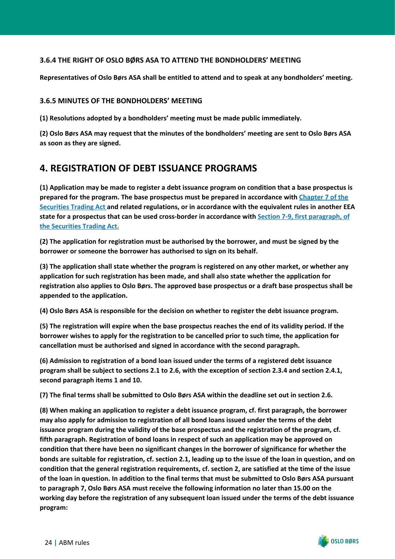#### <span id="page-25-0"></span>**3.6.4 THE RIGHT OF OSLO BØRS ASA TO ATTEND THE BONDHOLDERS' MEETING**

**Representatives of Oslo Børs ASA shall be entitled to attend and to speak at any bondholders' meeting.**

#### <span id="page-25-1"></span>**3.6.5 MINUTES OF THE BONDHOLDERS' MEETING**

**(1) Resolutions adopted by a bondholders' meeting must be made public immediately.**

**(2) Oslo Børs ASA may request that the minutes of the bondholders' meeting are sent to Oslo Børs ASA as soon as they are signed.**

# <span id="page-25-2"></span>**4. REGISTRATION OF DEBT ISSUANCE PROGRAMS**

**(1) Application may be made to register a debt issuance program on condition that a base prospectus is prepared for the program. The base prospectus must be prepared in accordance with [Chapter 7 of the](https://www.finanstilsynet.no/globalassets/laws-and-regulations/laws/securities-trading-act.pdf) [Securities Trading Act](https://www.finanstilsynet.no/globalassets/laws-and-regulations/laws/securities-trading-act.pdf) and related regulations, or in accordance with the equivalent rules in another EEA state for a prospectus that can be used cross-border in accordance with [Section 7-9, first paragraph, of](https://www.finanstilsynet.no/globalassets/laws-and-regulations/laws/securities-trading-act.pdf) [the Securities Trading Act.](https://www.finanstilsynet.no/globalassets/laws-and-regulations/laws/securities-trading-act.pdf)**

**(2) The application for registration must be authorised by the borrower, and must be signed by the borrower or someone the borrower has authorised to sign on its behalf.**

**(3) The application shall state whether the program is registered on any other market, or whether any application for such registration has been made, and shall also state whether the application for registration also applies to Oslo Børs. The approved base prospectus or a draft base prospectus shall be appended to the application.**

**(4) Oslo Børs ASA is responsible for the decision on whether to register the debt issuance program.**

**(5) The registration will expire when the base prospectus reaches the end of its validity period. If the borrower wishes to apply for the registration to be cancelled prior to such time, the application for cancellation must be authorised and signed in accordance with the second paragraph.**

**(6) Admission to registration of a bond loan issued under the terms of a registered debt issuance program shall be subject to sections 2.1 to 2.6, with the exception of section 2.3.4 and section 2.4.1, second paragraph items 1 and 10.**

**(7) The final terms shall be submitted to Oslo Børs ASA within the deadline set out in section 2.6.**

**(8) When making an application to register a debt issuance program, cf. first paragraph, the borrower may also apply for admission to registration of all bond loans issued under the terms of the debt issuance program during the validity of the base prospectus and the registration of the program, cf. fifth paragraph. Registration of bond loans in respect of such an application may be approved on condition that there have been no significant changes in the borrower of significance for whether the bonds are suitable for registration, cf. section 2.1, leading up to the issue of the loan in question, and on condition that the general registration requirements, cf. section 2, are satisfied at the time of the issue of the loan in question. In addition to the final terms that must be submitted to Oslo Børs ASA pursuant to paragraph 7, Oslo Børs ASA must receive the following information no later than 15.00 on the working day before the registration of any subsequent loan issued under the terms of the debt issuance program:**

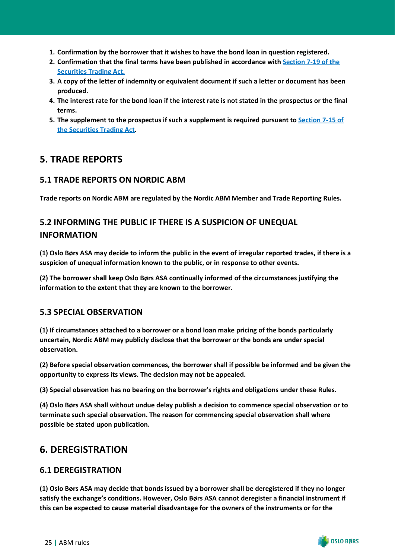- **1. Confirmation by the borrower that it wishes to have the bond loan in question registered.**
- **2. Confirmation that the final terms have been published in accordance with [Section 7-19 of the](https://www.finanstilsynet.no/globalassets/laws-and-regulations/laws/securities-trading-act.pdf) [Securities Trading Act.](https://www.finanstilsynet.no/globalassets/laws-and-regulations/laws/securities-trading-act.pdf)**
- **3. A copy of the letter of indemnity or equivalent document if such a letter or document has been produced.**
- **4. The interest rate for the bond loan if the interest rate is not stated in the prospectus or the final terms.**
- **5. The supplement to the prospectus if such a supplement is required pursuant to [Section 7-15 of](https://www.finanstilsynet.no/globalassets/laws-and-regulations/laws/securities-trading-act.pdf) [the Securities Trading Act](https://www.finanstilsynet.no/globalassets/laws-and-regulations/laws/securities-trading-act.pdf).**

# <span id="page-26-0"></span>**5. TRADE REPORTS**

# <span id="page-26-1"></span>**5.1 TRADE REPORTS ON NORDIC ABM**

**Trade reports on Nordic ABM are regulated by the Nordic ABM Member and Trade Reporting Rules.**

# <span id="page-26-2"></span>**5.2 INFORMING THE PUBLIC IF THERE IS A SUSPICION OF UNEQUAL INFORMATION**

**(1) Oslo Børs ASA may decide to inform the public in the event of irregular reported trades, if there is a suspicion of unequal information known to the public, or in response to other events.**

**(2) The borrower shall keep Oslo Børs ASA continually informed of the circumstances justifying the information to the extent that they are known to the borrower.**

## <span id="page-26-3"></span>**5.3 SPECIAL OBSERVATION**

**(1) If circumstances attached to a borrower or a bond loan make pricing of the bonds particularly uncertain, Nordic ABM may publicly disclose that the borrower or the bonds are under special observation.**

**(2) Before special observation commences, the borrower shall if possible be informed and be given the opportunity to express its views. The decision may not be appealed.**

**(3) Special observation has no bearing on the borrower's rights and obligations under these Rules.**

**(4) Oslo Børs ASA shall without undue delay publish a decision to commence special observation or to terminate such special observation. The reason for commencing special observation shall where possible be stated upon publication.**

# <span id="page-26-4"></span>**6. DEREGISTRATION**

## <span id="page-26-5"></span>**6.1 DEREGISTRATION**

**(1) Oslo Børs ASA may decide that bonds issued by a borrower shall be deregistered if they no longer satisfy the exchange's conditions. However, Oslo Børs ASA cannot deregister a financial instrument if this can be expected to cause material disadvantage for the owners of the instruments or for the**



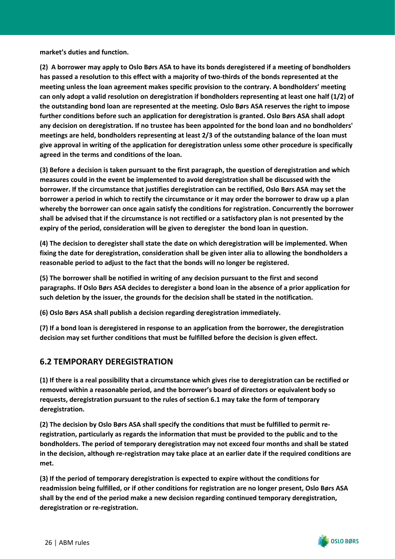**market's duties and function.**

**(2) A borrower may apply to Oslo Børs ASA to have its bonds deregistered if a meeting of bondholders has passed a resolution to this effect with a majority of two-thirds of the bonds represented at the meeting unless the loan agreement makes specific provision to the contrary. A bondholders' meeting can only adopt a valid resolution on deregistration if bondholders representing at least one half (1/2) of the outstanding bond loan are represented at the meeting. Oslo Børs ASA reserves the right to impose further conditions before such an application for deregistration is granted. Oslo Børs ASA shall adopt any decision on deregistration. If no trustee has been appointed for the bond loan and no bondholders' meetings are held, bondholders representing at least 2/3 of the outstanding balance of the loan must give approval in writing of the application for deregistration unless some other procedure is specifically agreed in the terms and conditions of the loan.**

**(3) Before a decision is taken pursuant to the first paragraph, the question of deregistration and which measures could in the event be implemented to avoid deregistration shall be discussed with the borrower. If the circumstance that justifies deregistration can be rectified, Oslo Børs ASA may set the borrower a period in which to rectify the circumstance or it may order the borrower to draw up a plan whereby the borrower can once again satisfy the conditions for registration. Concurrently the borrower shall be advised that if the circumstance is not rectified or a satisfactory plan is not presented by the expiry of the period, consideration will be given to deregister the bond loan in question.**

**(4) The decision to deregister shall state the date on which deregistration will be implemented. When fixing the date for deregistration, consideration shall be given inter alia to allowing the bondholders a reasonable period to adjust to the fact that the bonds will no longer be registered.**

**(5) The borrower shall be notified in writing of any decision pursuant to the first and second paragraphs. If Oslo Børs ASA decides to deregister a bond loan in the absence of a prior application for such deletion by the issuer, the grounds for the decision shall be stated in the notification.**

**(6) Oslo Børs ASA shall publish a decision regarding deregistration immediately.**

**(7) If a bond loan is deregistered in response to an application from the borrower, the deregistration decision may set further conditions that must be fulfilled before the decision is given effect.**

# <span id="page-27-0"></span>**6.2 TEMPORARY DEREGISTRATION**

**(1) If there is a real possibility that a circumstance which gives rise to deregistration can be rectified or removed within a reasonable period, and the borrower's board of directors or equivalent body so requests, deregistration pursuant to the rules of section 6.1 may take the form of temporary deregistration.**

**(2) The decision by Oslo Børs ASA shall specify the conditions that must be fulfilled to permit reregistration, particularly as regards the information that must be provided to the public and to the bondholders. The period of temporary deregistration may not exceed four months and shall be stated in the decision, although re-registration may take place at an earlier date if the required conditions are met.**

**(3) If the period of temporary deregistration is expected to expire without the conditions for readmission being fulfilled, or if other conditions for registration are no longer present, Oslo Børs ASA shall by the end of the period make a new decision regarding continued temporary deregistration, deregistration or re-registration.**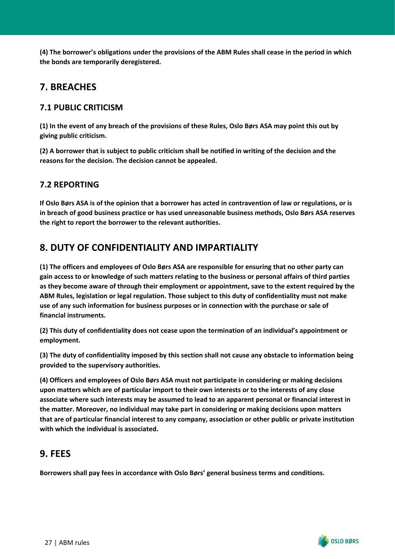**(4) The borrower's obligations under the provisions of the ABM Rules shall cease in the period in which the bonds are temporarily deregistered.**

# <span id="page-28-0"></span>**7. BREACHES**

# <span id="page-28-1"></span>**7.1 PUBLIC CRITICISM**

**(1) In the event of any breach of the provisions of these Rules, Oslo Børs ASA may point this out by giving public criticism.**

**(2) A borrower that is subject to public criticism shall be notified in writing of the decision and the reasons for the decision. The decision cannot be appealed.**

# <span id="page-28-2"></span>**7.2 REPORTING**

**If Oslo Børs ASA is of the opinion that a borrower has acted in contravention of law or regulations, or is in breach of good business practice or has used unreasonable business methods, Oslo Børs ASA reserves the right to report the borrower to the relevant authorities.**

# <span id="page-28-3"></span>**8. DUTY OF CONFIDENTIALITY AND IMPARTIALITY**

**(1) The officers and employees of Oslo Børs ASA are responsible for ensuring that no other party can gain access to or knowledge of such matters relating to the business or personal affairs of third parties as they become aware of through their employment or appointment, save to the extent required by the ABM Rules, legislation or legal regulation. Those subject to this duty of confidentiality must not make use of any such information for business purposes or in connection with the purchase or sale of financial instruments.**

**(2) This duty of confidentiality does not cease upon the termination of an individual's appointment or employment.**

**(3) The duty of confidentiality imposed by this section shall not cause any obstacle to information being provided to the supervisory authorities.**

**(4) Officers and employees of Oslo Børs ASA must not participate in considering or making decisions upon matters which are of particular import to their own interests or to the interests of any close associate where such interests may be assumed to lead to an apparent personal or financial interest in the matter. Moreover, no individual may take part in considering or making decisions upon matters that are of particular financial interest to any company, association or other public or private institution with which the individual is associated.**

# <span id="page-28-4"></span>**9. FEES**

**Borrowers shall pay fees in accordance with Oslo Børs' general business terms and conditions.**

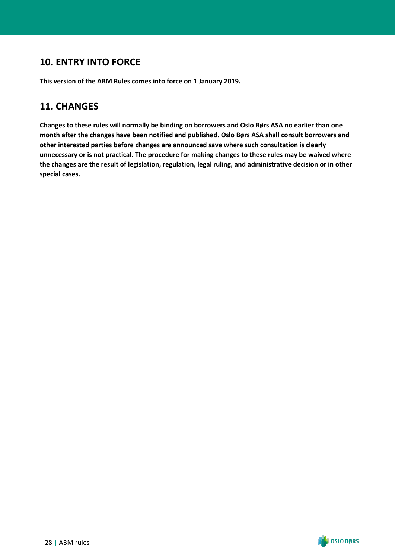# <span id="page-29-0"></span>**10. ENTRY INTO FORCE**

**This version of the ABM Rules comes into force on 1 January 2019.**

# <span id="page-29-1"></span>**11. CHANGES**

**Changes to these rules will normally be binding on borrowers and Oslo Børs ASA no earlier than one month after the changes have been notified and published. Oslo Børs ASA shall consult borrowers and other interested parties before changes are announced save where such consultation is clearly unnecessary or is not practical. The procedure for making changes to these rules may be waived where the changes are the result of legislation, regulation, legal ruling, and administrative decision or in other special cases.**